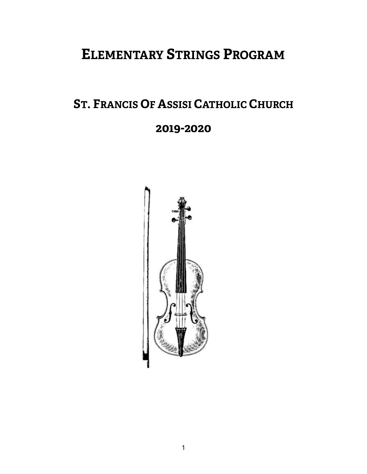# **ELEMENTARY STRINGS PROGRAM**

# **ST. FRANCIS OF ASSISI CATHOLIC CHURCH**

# **2019-2020**

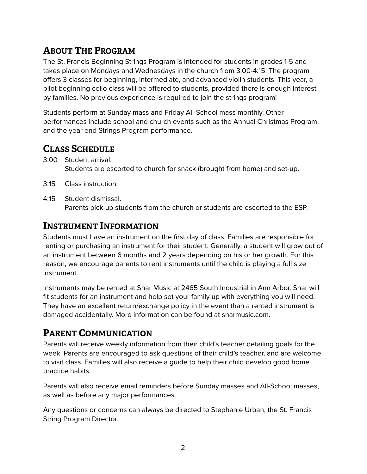## **ABOUT THE PROGRAM**

The St. Francis Beginning Strings Program is intended for students in grades 1-5 and takes place on Mondays and Wednesdays in the church from 3:00-4:15. The program offers 3 classes for beginning, intermediate, and advanced violin students. This year, a pilot beginning cello class will be offered to students, provided there is enough interest by families. No previous experience is required to join the strings program!

Students perform at Sunday mass and Friday All-School mass monthly. Other performances include school and church events such as the Annual Christmas Program, and the year end Strings Program performance.

### **CLASS SCHEDULE**

3:00 Student arrival.

Students are escorted to church for snack (brought from home) and set-up.

- 3:15 Class instruction.
- 4:15 Student dismissal.

Parents pick-up students from the church or students are escorted to the ESP.

### **INSTRUMENT INFORMATION**

Students must have an instrument on the first day of class. Families are responsible for renting or purchasing an instrument for their student. Generally, a student will grow out of an instrument between 6 months and 2 years depending on his or her growth. For this reason, we encourage parents to rent instruments until the child is playing a full size instrument.

Instruments may be rented at Shar Music at 2465 South Industrial in Ann Arbor. Shar will fit students for an instrument and help set your family up with everything you will need. They have an excellent return/exchange policy in the event than a rented instrument is damaged accidentally. More information can be found at [sharmusic.com](http://sharmusic.com).

## **PARENT COMMUNICATION**

Parents will receive weekly information from their child's teacher detailing goals for the week. Parents are encouraged to ask questions of their child's teacher, and are welcome to visit class. Families will also receive a guide to help their child develop good home practice habits.

Parents will also receive email reminders before Sunday masses and All-School masses, as well as before any major performances.

Any questions or concerns can always be directed to Stephanie Urban, the St. Francis String Program Director.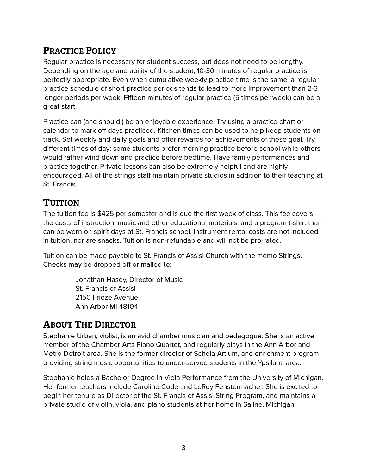## **PRACTICE POLICY**

Regular practice is necessary for student success, but does not need to be lengthy. Depending on the age and ability of the student, 10-30 minutes of regular practice is perfectly appropriate. Even when cumulative weekly practice time is the same, a regular practice schedule of short practice periods tends to lead to more improvement than 2-3 longer periods per week. Fifteen minutes of regular practice (5 times per week) can be a great start.

Practice can (and should!) be an enjoyable experience. Try using a practice chart or calendar to mark off days practiced. Kitchen times can be used to help keep students on track. Set weekly and daily goals and offer rewards for achievements of these goal. Try different times of day: some students prefer morning practice before school while others would rather wind down and practice before bedtime. Have family performances and practice together. Private lessons can also be extremely helpful and are highly encouraged. All of the strings staff maintain private studios in addition to their teaching at St. Francis.

## **TUITION**

The tuition fee is \$425 per semester and is due the first week of class. This fee covers the costs of instruction, music and other educational materials, and a program t-shirt than can be worn on spirit days at St. Francis school. Instrument rental costs are not included in tuition, nor are snacks. Tuition is non-refundable and will not be pro-rated.

Tuition can be made payable to St. Francis of Assisi Church with the memo Strings. Checks may be dropped off or mailed to:

> Jonathan Hasey, Director of Music St. Francis of Assisi 2150 Frieze Avenue Ann Arbor MI 48104

## **ABOUT THE DIRECTOR**

Stephanie Urban, violist, is an avid chamber musician and pedagogue. She is an active member of the Chamber Arts Piano Quartet, and regularly plays in the Ann Arbor and Metro Detroit area. She is the former director of Schola Artium, and enrichment program providing string music opportunities to under-served students in the Ypsilanti area.

Stephanie holds a Bachelor Degree in Viola Performance from the University of Michigan. Her former teachers include Caroline Code and LeRoy Fenstermacher. She is excited to begin her tenure as Director of the St. Francis of Assisi String Program, and maintains a private studio of violin, viola, and piano students at her home in Saline, Michigan.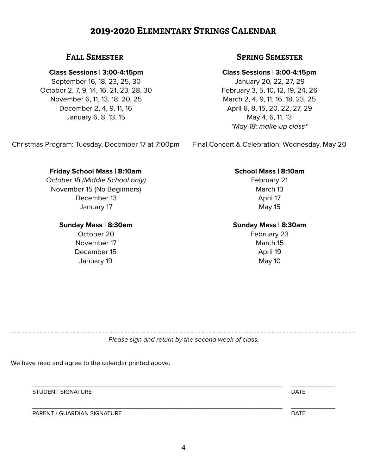### **2019-2020 ELEMENTARY STRINGS CALENDAR**

### **Class Sessions | 3:00-4:15pm**

September 16, 18, 23, 25, 30 October 2, 7, 9, 14, 16, 21, 23, 28, 30 November 6, 11, 13, 18, 20, 25 December 2, 4, 9, 11, 16 January 6, 8, 13, 15

### **FALL SEMESTER SPRING SEMESTER**

### **Class Sessions | 3:00-4:15pm**

January 20, 22, 27, 29 February 3, 5, 10, 12, 19, 24, 26 March 2, 4, 9, 11, 16, 18, 23, 25 April 6, 8, 15, 20, 22, 27, 29 May 4, 6, 11, 13 *\*May 18: make-up class\** 

Final Concert & Celebration: Wednesday, May 20

### **School Mass | 8:10am**

February 21 March 13 April 17 May 15

### **Sunday Mass | 8:30am**

February 23 March 15 April 19 May 10

- - - - - - - - - - - - - - - - - - - - - - - - - - - - - - - - - - - - - - - - - - - - - - - - - - - - - - - - - - - - - - - - - - - - - - - - - - - - - - - - - - - - - - - - - - - - - -

Christmas Program: Tuesday, December 17 at 7:00pm

**Friday School Mass | 8:10am** 

*October 18 (Middle School only)*  November 15 (No Beginners) December 13 January 17

### **Sunday Mass | 8:30am**

October 20 November 17 December 15 January 19

*Please sign and return by the second week of class.* 

We have read and agree to the calendar printed above.

 \_\_\_\_\_\_\_\_\_\_\_\_\_\_\_\_\_\_\_\_\_\_\_\_\_\_\_\_\_\_\_\_\_\_\_\_\_\_\_\_\_\_\_\_\_\_\_\_\_\_\_\_\_\_\_\_\_\_\_\_\_\_\_\_\_\_\_\_\_\_\_\_\_\_ \_\_\_\_\_\_\_\_\_\_\_\_\_ STUDENT SIGNATURE **External of the STUDENT SIGNATURE DATE** 

 \_\_\_\_\_\_\_\_\_\_\_\_\_\_\_\_\_\_\_\_\_\_\_\_\_\_\_\_\_\_\_\_\_\_\_\_\_\_\_\_\_\_\_\_\_\_\_\_\_\_\_\_\_\_\_\_\_\_\_\_\_\_\_\_\_\_\_\_\_\_\_\_\_\_ \_\_\_\_\_\_\_\_\_\_\_\_\_ PARENT / GUARDIAN SIGNATURE DATE DATE